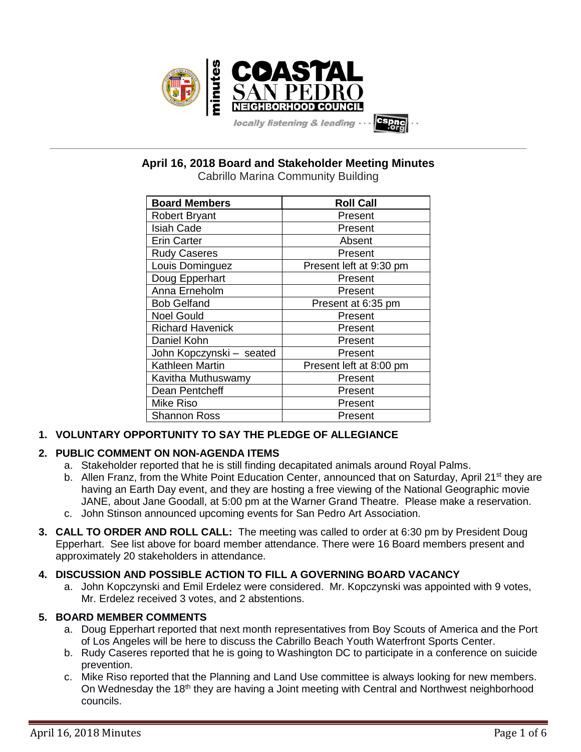

**April 16, 2018 Board and Stakeholder Meeting Minutes**

**\_\_\_\_\_\_\_\_\_\_\_\_\_\_\_\_\_\_\_\_\_\_\_\_\_\_\_\_\_\_\_\_\_\_\_\_\_\_\_\_\_\_\_\_\_\_\_\_\_\_\_\_\_\_\_\_\_\_\_\_\_\_\_\_\_\_\_\_\_\_\_\_\_\_\_\_\_\_\_\_\_\_\_\_\_\_\_\_\_\_\_\_\_\_\_\_\_\_\_\_\_\_\_\_\_\_\_\_\_\_\_\_\_**

Cabrillo Marina Community Building

| <b>Board Members</b>     | <b>Roll Call</b>        |
|--------------------------|-------------------------|
| <b>Robert Bryant</b>     | Present                 |
| <b>Isiah Cade</b>        | Present                 |
| <b>Erin Carter</b>       | Absent                  |
| <b>Rudy Caseres</b>      | Present                 |
| Louis Dominguez          | Present left at 9:30 pm |
| Doug Epperhart           | Present                 |
| Anna Erneholm            | Present                 |
| <b>Bob Gelfand</b>       | Present at 6:35 pm      |
| <b>Noel Gould</b>        | Present                 |
| <b>Richard Havenick</b>  | Present                 |
| Daniel Kohn              | Present                 |
| John Kopczynski - seated | Present                 |
| Kathleen Martin          | Present left at 8:00 pm |
| Kavitha Muthuswamy       | Present                 |
| Dean Pentcheff           | Present                 |
| <b>Mike Riso</b>         | Present                 |
| <b>Shannon Ross</b>      | Present                 |

# **1. VOLUNTARY OPPORTUNITY TO SAY THE PLEDGE OF ALLEGIANCE**

# **2. PUBLIC COMMENT ON NON-AGENDA ITEMS**

- a. Stakeholder reported that he is still finding decapitated animals around Royal Palms.
- b. Allen Franz, from the White Point Education Center, announced that on Saturday, April 21<sup>st</sup> they are having an Earth Day event, and they are hosting a free viewing of the National Geographic movie JANE, about Jane Goodall, at 5:00 pm at the Warner Grand Theatre. Please make a reservation.
- c. John Stinson announced upcoming events for San Pedro Art Association.
- **3. CALL TO ORDER AND ROLL CALL:** The meeting was called to order at 6:30 pm by President Doug Epperhart. See list above for board member attendance. There were 16 Board members present and approximately 20 stakeholders in attendance.

# **4. DISCUSSION AND POSSIBLE ACTION TO FILL A GOVERNING BOARD VACANCY**

a. John Kopczynski and Emil Erdelez were considered. Mr. Kopczynski was appointed with 9 votes, Mr. Erdelez received 3 votes, and 2 abstentions.

# **5. BOARD MEMBER COMMENTS**

- a. Doug Epperhart reported that next month representatives from Boy Scouts of America and the Port of Los Angeles will be here to discuss the Cabrillo Beach Youth Waterfront Sports Center.
- b. Rudy Caseres reported that he is going to Washington DC to participate in a conference on suicide prevention.
- c. Mike Riso reported that the Planning and Land Use committee is always looking for new members. On Wednesday the 18<sup>th</sup> they are having a Joint meeting with Central and Northwest neighborhood councils.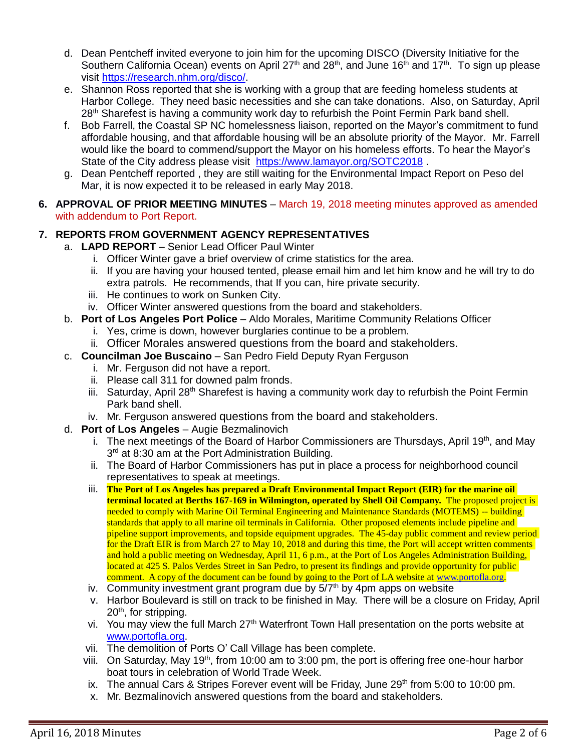- d. Dean Pentcheff invited everyone to join him for the upcoming DISCO (Diversity Initiative for the Southern California Ocean) events on April 27<sup>th</sup> and 28<sup>th</sup>, and June 16<sup>th</sup> and 17<sup>th</sup>. To sign up please visit [https://research.nhm.org/disco/.](https://research.nhm.org/disco/)
- e. Shannon Ross reported that she is working with a group that are feeding homeless students at Harbor College. They need basic necessities and she can take donations. Also, on Saturday, April 28<sup>th</sup> Sharefest is having a community work day to refurbish the Point Fermin Park band shell.
- f. Bob Farrell, the Coastal SP NC homelessness liaison, reported on the Mayor's commitment to fund affordable housing, and that affordable housing will be an absolute priority of the Mayor. Mr. Farrell would like the board to commend/support the Mayor on his homeless efforts. To hear the Mayor's State of the City address please visit <https://www.lamayor.org/SOTC2018>.
- g. Dean Pentcheff reported , they are still waiting for the Environmental Impact Report on Peso del Mar, it is now expected it to be released in early May 2018.
- **6. APPROVAL OF PRIOR MEETING MINUTES** March 19, 2018 meeting minutes approved as amended with addendum to Port Report.

# **7. REPORTS FROM GOVERNMENT AGENCY REPRESENTATIVES**

- a. **LAPD REPORT** Senior Lead Officer Paul Winter
	- i. Officer Winter gave a brief overview of crime statistics for the area.
	- ii. If you are having your housed tented, please email him and let him know and he will try to do extra patrols. He recommends, that If you can, hire private security.
	- iii. He continues to work on Sunken City.
	- iv. Officer Winter answered questions from the board and stakeholders.
- b. **Port of Los Angeles Port Police** Aldo Morales, Maritime Community Relations Officer
	- i. Yes, crime is down, however burglaries continue to be a problem.
	- ii. Officer Morales answered questions from the board and stakeholders.
- c. **Councilman Joe Buscaino** San Pedro Field Deputy Ryan Ferguson
	- i. Mr. Ferguson did not have a report.
	- ii. Please call 311 for downed palm fronds.
	- iii. Saturday, April  $28<sup>th</sup>$  Sharefest is having a community work day to refurbish the Point Fermin Park band shell.
	- iv. Mr. Ferguson answered questions from the board and stakeholders.
- d. **Port of Los Angeles** Augie Bezmalinovich
	- i. The next meetings of the Board of Harbor Commissioners are Thursdays, April 19<sup>th</sup>, and May 3<sup>rd</sup> at 8:30 am at the Port Administration Building.
	- ii. The Board of Harbor Commissioners has put in place a process for neighborhood council representatives to speak at meetings.
	- iii. **The Port of Los Angeles has prepared a Draft Environmental Impact Report (EIR) for the marine oil terminal located at Berths 167-169 in Wilmington, operated by Shell Oil Company.** The proposed project is needed to comply with Marine Oil Terminal Engineering and Maintenance Standards (MOTEMS) -- building standards that apply to all marine oil terminals in California. Other proposed elements include pipeline and pipeline support improvements, and topside equipment upgrades. The 45-day public comment and review period for the Draft EIR is from March 27 to May 10, 2018 and during this time, the Port will accept written comments and hold a public meeting on Wednesday, April 11, 6 p.m., at the Port of Los Angeles Administration Building, located at 425 S. Palos Verdes Street in San Pedro, to present its findings and provide opportunity for public comment. A copy of the document can be found by going to the Port of LA website at [www.portofla.org.](http://www.portofla.org/)
	- iv. Community investment grant program due by  $5/7<sup>th</sup>$  by 4pm apps on website
	- v. Harbor Boulevard is still on track to be finished in May. There will be a closure on Friday, April 20<sup>th</sup>, for stripping.
	- vi. You may view the full March 27<sup>th</sup> Waterfront Town Hall presentation on the ports website at [www.portofla.org.](http://www.portofla.org/)
	- vii. The demolition of Ports O' Call Village has been complete.
	- viii. On Saturday, May 19<sup>th</sup>, from 10:00 am to 3:00 pm, the port is offering free one-hour harbor boat tours in celebration of World Trade Week.
	- ix. The annual Cars & Stripes Forever event will be Friday, June  $29<sup>th</sup>$  from 5:00 to 10:00 pm.
	- x. Mr. Bezmalinovich answered questions from the board and stakeholders.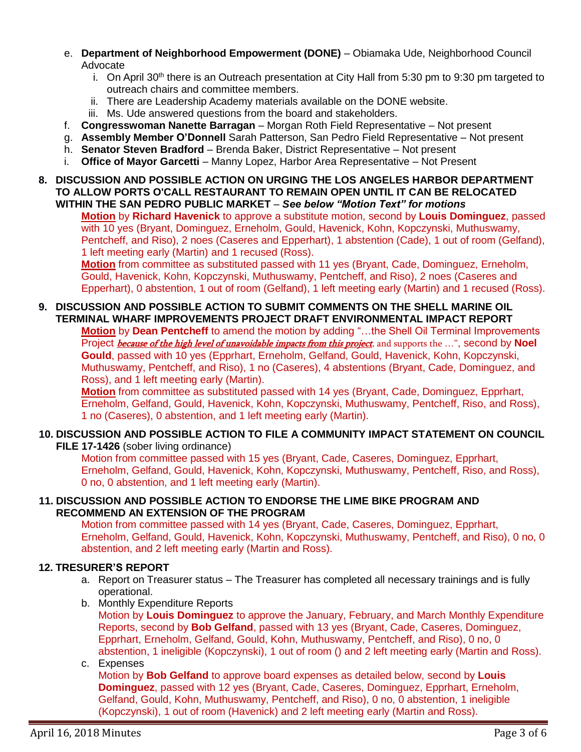- e. **Department of Neighborhood Empowerment (DONE)** Obiamaka Ude, Neighborhood Council Advocate
	- i. On April 30<sup>th</sup> there is an Outreach presentation at City Hall from 5:30 pm to 9:30 pm targeted to outreach chairs and committee members.
	- ii. There are Leadership Academy materials available on the DONE website.
	- iii. Ms. Ude answered questions from the board and stakeholders.
- f. **Congresswoman Nanette Barragan** Morgan Roth Field Representative Not present
- g. **Assembly Member O'Donnell** Sarah Patterson, San Pedro Field Representative Not present
- h. **Senator Steven Bradford** Brenda Baker, District Representative Not present
- i. **Office of Mayor Garcetti** Manny Lopez, Harbor Area Representative Not Present

#### **8. DISCUSSION AND POSSIBLE ACTION ON URGING THE LOS ANGELES HARBOR DEPARTMENT TO ALLOW PORTS O'CALL RESTAURANT TO REMAIN OPEN UNTIL IT CAN BE RELOCATED WITHIN THE SAN PEDRO PUBLIC MARKET** – *See below "Motion Text" for motions*

**Motion** by **Richard Havenick** to approve a substitute motion, second by **Louis Dominguez**, passed with 10 yes (Bryant, Dominguez, Erneholm, Gould, Havenick, Kohn, Kopczynski, Muthuswamy, Pentcheff, and Riso), 2 noes (Caseres and Epperhart), 1 abstention (Cade), 1 out of room (Gelfand), 1 left meeting early (Martin) and 1 recused (Ross).

**Motion** from committee as substituted passed with 11 yes (Bryant, Cade, Dominguez, Erneholm, Gould, Havenick, Kohn, Kopczynski, Muthuswamy, Pentcheff, and Riso), 2 noes (Caseres and Epperhart), 0 abstention, 1 out of room (Gelfand), 1 left meeting early (Martin) and 1 recused (Ross).

#### **9. DISCUSSION AND POSSIBLE ACTION TO SUBMIT COMMENTS ON THE SHELL MARINE OIL TERMINAL WHARF IMPROVEMENTS PROJECT DRAFT ENVIRONMENTAL IMPACT REPORT**

**Motion** by **Dean Pentcheff** to amend the motion by adding "…the Shell Oil Terminal Improvements Project *because of the high level of unavoidable impacts from this project*, and supports the ...", second by **Noel Gould**, passed with 10 yes (Epprhart, Erneholm, Gelfand, Gould, Havenick, Kohn, Kopczynski, Muthuswamy, Pentcheff, and Riso), 1 no (Caseres), 4 abstentions (Bryant, Cade, Dominguez, and Ross), and 1 left meeting early (Martin).

**Motion** from committee as substituted passed with 14 yes (Bryant, Cade, Dominguez, Epprhart, Erneholm, Gelfand, Gould, Havenick, Kohn, Kopczynski, Muthuswamy, Pentcheff, Riso, and Ross), 1 no (Caseres), 0 abstention, and 1 left meeting early (Martin).

#### **10. DISCUSSION AND POSSIBLE ACTION TO FILE A COMMUNITY IMPACT STATEMENT ON COUNCIL FILE 17-1426** (sober living ordinance)

Motion from committee passed with 15 yes (Bryant, Cade, Caseres, Dominguez, Epprhart, Erneholm, Gelfand, Gould, Havenick, Kohn, Kopczynski, Muthuswamy, Pentcheff, Riso, and Ross), 0 no, 0 abstention, and 1 left meeting early (Martin).

### **11. DISCUSSION AND POSSIBLE ACTION TO ENDORSE THE LIME BIKE PROGRAM AND RECOMMEND AN EXTENSION OF THE PROGRAM**

Motion from committee passed with 14 yes (Bryant, Cade, Caseres, Dominguez, Epprhart, Erneholm, Gelfand, Gould, Havenick, Kohn, Kopczynski, Muthuswamy, Pentcheff, and Riso), 0 no, 0 abstention, and 2 left meeting early (Martin and Ross).

### **12. TRESURER'S REPORT**

- a. Report on Treasurer status The Treasurer has completed all necessary trainings and is fully operational.
- b. Monthly Expenditure Reports

Motion by **Louis Dominguez** to approve the January, February, and March Monthly Expenditure Reports, second by **Bob Gelfand**, passed with 13 yes (Bryant, Cade, Caseres, Dominguez, Epprhart, Erneholm, Gelfand, Gould, Kohn, Muthuswamy, Pentcheff, and Riso), 0 no, 0 abstention, 1 ineligible (Kopczynski), 1 out of room () and 2 left meeting early (Martin and Ross).

#### c. Expenses

Motion by **Bob Gelfand** to approve board expenses as detailed below, second by **Louis Dominguez**, passed with 12 yes (Bryant, Cade, Caseres, Dominguez, Epprhart, Erneholm, Gelfand, Gould, Kohn, Muthuswamy, Pentcheff, and Riso), 0 no, 0 abstention, 1 ineligible (Kopczynski), 1 out of room (Havenick) and 2 left meeting early (Martin and Ross).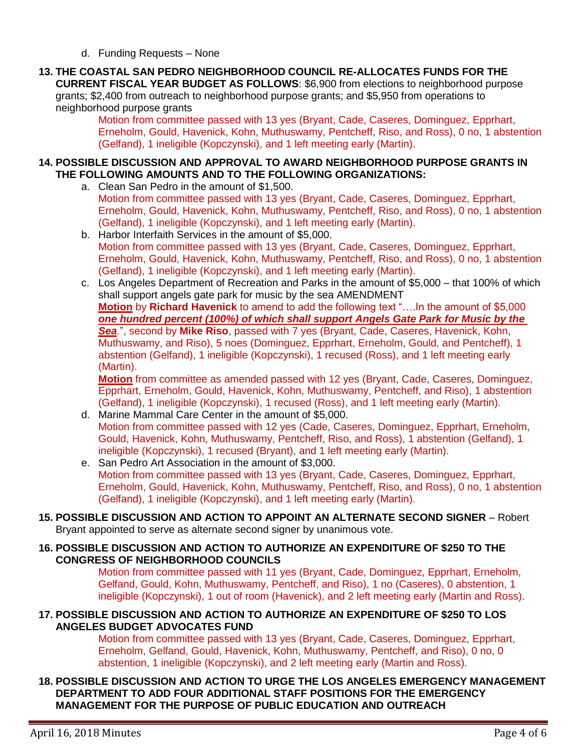- d. Funding Requests None
- **13. THE COASTAL SAN PEDRO NEIGHBORHOOD COUNCIL RE-ALLOCATES FUNDS FOR THE CURRENT FISCAL YEAR BUDGET AS FOLLOWS**: \$6,900 from elections to neighborhood purpose grants; \$2,400 from outreach to neighborhood purpose grants; and \$5,950 from operations to neighborhood purpose grants

Motion from committee passed with 13 yes (Bryant, Cade, Caseres, Dominguez, Epprhart, Erneholm, Gould, Havenick, Kohn, Muthuswamy, Pentcheff, Riso, and Ross), 0 no, 1 abstention (Gelfand), 1 ineligible (Kopczynski), and 1 left meeting early (Martin).

## **14. POSSIBLE DISCUSSION AND APPROVAL TO AWARD NEIGHBORHOOD PURPOSE GRANTS IN THE FOLLOWING AMOUNTS AND TO THE FOLLOWING ORGANIZATIONS:**

- a. Clean San Pedro in the amount of \$1,500. Motion from committee passed with 13 yes (Bryant, Cade, Caseres, Dominguez, Epprhart, Erneholm, Gould, Havenick, Kohn, Muthuswamy, Pentcheff, Riso, and Ross), 0 no, 1 abstention (Gelfand), 1 ineligible (Kopczynski), and 1 left meeting early (Martin).
- b. Harbor Interfaith Services in the amount of \$5,000. Motion from committee passed with 13 yes (Bryant, Cade, Caseres, Dominguez, Epprhart, Erneholm, Gould, Havenick, Kohn, Muthuswamy, Pentcheff, Riso, and Ross), 0 no, 1 abstention (Gelfand), 1 ineligible (Kopczynski), and 1 left meeting early (Martin).
- c. Los Angeles Department of Recreation and Parks in the amount of \$5,000 that 100% of which shall support angels gate park for music by the sea AMENDMENT **Motion** by **Richard Havenick** to amend to add the following text "….In the amount of \$5,000 *one hundred percent (100%) of which shall support Angels Gate Park for Music by the Sea*.", second by **Mike Riso**, passed with 7 yes (Bryant, Cade, Caseres, Havenick, Kohn, Muthuswamy, and Riso), 5 noes (Dominguez, Epprhart, Erneholm, Gould, and Pentcheff), 1 abstention (Gelfand), 1 ineligible (Kopczynski), 1 recused (Ross), and 1 left meeting early (Martin).

**Motion** from committee as amended passed with 12 yes (Bryant, Cade, Caseres, Dominguez, Epprhart, Erneholm, Gould, Havenick, Kohn, Muthuswamy, Pentcheff, and Riso), 1 abstention (Gelfand), 1 ineligible (Kopczynski), 1 recused (Ross), and 1 left meeting early (Martin).

- d. Marine Mammal Care Center in the amount of \$5,000. Motion from committee passed with 12 yes (Cade, Caseres, Dominguez, Epprhart, Erneholm, Gould, Havenick, Kohn, Muthuswamy, Pentcheff, Riso, and Ross), 1 abstention (Gelfand), 1 ineligible (Kopczynski), 1 recused (Bryant), and 1 left meeting early (Martin).
- e. San Pedro Art Association in the amount of \$3,000. Motion from committee passed with 13 yes (Bryant, Cade, Caseres, Dominguez, Epprhart, Erneholm, Gould, Havenick, Kohn, Muthuswamy, Pentcheff, Riso, and Ross), 0 no, 1 abstention (Gelfand), 1 ineligible (Kopczynski), and 1 left meeting early (Martin).

#### **15. POSSIBLE DISCUSSION AND ACTION TO APPOINT AN ALTERNATE SECOND SIGNER** – Robert Bryant appointed to serve as alternate second signer by unanimous vote.

### **16. POSSIBLE DISCUSSION AND ACTION TO AUTHORIZE AN EXPENDITURE OF \$250 TO THE CONGRESS OF NEIGHBORHOOD COUNCILS**

Motion from committee passed with 11 yes (Bryant, Cade, Dominguez, Epprhart, Erneholm, Gelfand, Gould, Kohn, Muthuswamy, Pentcheff, and Riso), 1 no (Caseres), 0 abstention, 1 ineligible (Kopczynski), 1 out of room (Havenick), and 2 left meeting early (Martin and Ross).

### **17. POSSIBLE DISCUSSION AND ACTION TO AUTHORIZE AN EXPENDITURE OF \$250 TO LOS ANGELES BUDGET ADVOCATES FUND**

Motion from committee passed with 13 yes (Bryant, Cade, Caseres, Dominguez, Epprhart, Erneholm, Gelfand, Gould, Havenick, Kohn, Muthuswamy, Pentcheff, and Riso), 0 no, 0 abstention, 1 ineligible (Kopczynski), and 2 left meeting early (Martin and Ross).

## **18. POSSIBLE DISCUSSION AND ACTION TO URGE THE LOS ANGELES EMERGENCY MANAGEMENT DEPARTMENT TO ADD FOUR ADDITIONAL STAFF POSITIONS FOR THE EMERGENCY MANAGEMENT FOR THE PURPOSE OF PUBLIC EDUCATION AND OUTREACH**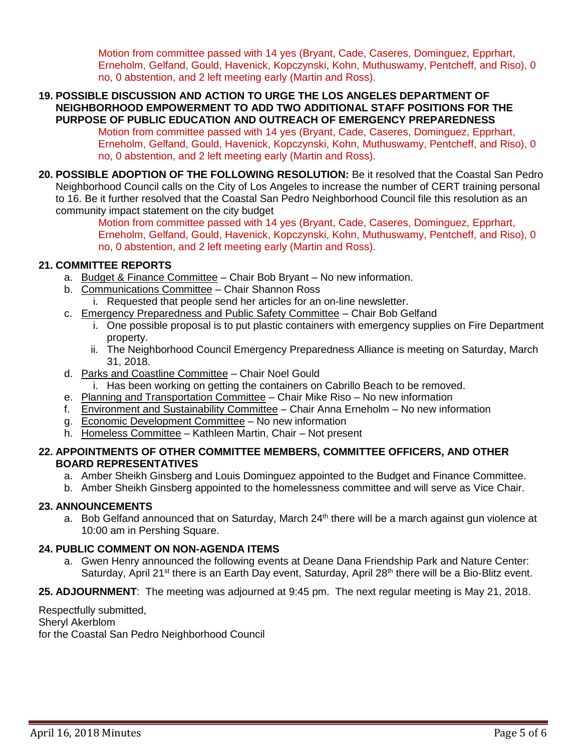Motion from committee passed with 14 yes (Bryant, Cade, Caseres, Dominguez, Epprhart, Erneholm, Gelfand, Gould, Havenick, Kopczynski, Kohn, Muthuswamy, Pentcheff, and Riso), 0 no, 0 abstention, and 2 left meeting early (Martin and Ross).

**19. POSSIBLE DISCUSSION AND ACTION TO URGE THE LOS ANGELES DEPARTMENT OF NEIGHBORHOOD EMPOWERMENT TO ADD TWO ADDITIONAL STAFF POSITIONS FOR THE PURPOSE OF PUBLIC EDUCATION AND OUTREACH OF EMERGENCY PREPAREDNESS**

Motion from committee passed with 14 yes (Bryant, Cade, Caseres, Dominguez, Epprhart, Erneholm, Gelfand, Gould, Havenick, Kopczynski, Kohn, Muthuswamy, Pentcheff, and Riso), 0 no, 0 abstention, and 2 left meeting early (Martin and Ross).

**20. POSSIBLE ADOPTION OF THE FOLLOWING RESOLUTION:** Be it resolved that the Coastal San Pedro Neighborhood Council calls on the City of Los Angeles to increase the number of CERT training personal to 16. Be it further resolved that the Coastal San Pedro Neighborhood Council file this resolution as an community impact statement on the city budget

Motion from committee passed with 14 yes (Bryant, Cade, Caseres, Dominguez, Epprhart, Erneholm, Gelfand, Gould, Havenick, Kopczynski, Kohn, Muthuswamy, Pentcheff, and Riso), 0 no, 0 abstention, and 2 left meeting early (Martin and Ross).

## **21. COMMITTEE REPORTS**

- a. Budget & Finance Committee Chair Bob Bryant No new information.
- b. Communications Committee Chair Shannon Ross
	- i. Requested that people send her articles for an on-line newsletter.
- c. Emergency Preparedness and Public Safety Committee Chair Bob Gelfand
	- i. One possible proposal is to put plastic containers with emergency supplies on Fire Department property.
	- ii. The Neighborhood Council Emergency Preparedness Alliance is meeting on Saturday, March 31, 2018.
- d. Parks and Coastline Committee Chair Noel Gould
	- i. Has been working on getting the containers on Cabrillo Beach to be removed.
- e. Planning and Transportation Committee Chair Mike Riso No new information
- f. Environment and Sustainability Committee Chair Anna Erneholm No new information
- g. Economic Development Committee No new information
- h. Homeless Committee Kathleen Martin, Chair Not present

### **22. APPOINTMENTS OF OTHER COMMITTEE MEMBERS, COMMITTEE OFFICERS, AND OTHER BOARD REPRESENTATIVES**

- a. Amber Sheikh Ginsberg and Louis Dominguez appointed to the Budget and Finance Committee.
- b. Amber Sheikh Ginsberg appointed to the homelessness committee and will serve as Vice Chair.

### **23. ANNOUNCEMENTS**

a. Bob Gelfand announced that on Saturday, March  $24<sup>th</sup>$  there will be a march against gun violence at 10:00 am in Pershing Square.

### **24. PUBLIC COMMENT ON NON-AGENDA ITEMS**

a. Gwen Henry announced the following events at Deane Dana Friendship Park and Nature Center: Saturday, April 21<sup>st</sup> there is an Earth Day event, Saturday, April 28<sup>th</sup> there will be a Bio-Blitz event.

## **25. ADJOURNMENT**:The meeting was adjourned at 9:45 pm. The next regular meeting is May 21, 2018.

Respectfully submitted, Sheryl Akerblom for the Coastal San Pedro Neighborhood Council